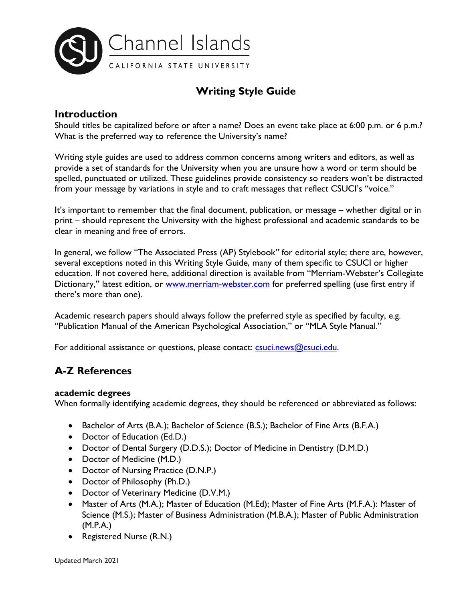

# **Writing Style Guide**

# **Introduction**

Should titles be capitalized before or after a name? Does an event take place at 6:00 p.m. or 6 p.m.? What is the preferred way to reference the University's name?

Writing style guides are used to address common concerns among writers and editors, as well as provide a set of standards for the University when you are unsure how a word or term should be spelled, punctuated or utilized. These guidelines provide consistency so readers won't be distracted from your message by variations in style and to craft messages that reflect CSUCI's "voice."

It's important to remember that the final document, publication, or message – whether digital or in print – should represent the University with the highest professional and academic standards to be clear in meaning and free of errors.

In general, we follow "The Associated Press (AP) Stylebook*"* for editorial style; there are, however, several exceptions noted in this Writing Style Guide, many of them specific to CSUCI or higher education. If not covered here, additional direction is available from "Merriam-Webster's Collegiate Dictionary," latest edition, or [www.merriam-webster.com](http://www.merriam-webster.com/) for preferred spelling (use first entry if there's more than one).

Academic research papers should always follow the preferred style as specified by faculty, e.g. "Publication Manual of the American Psychological Association," or "MLA Style Manual."

For additional assistance or questions, please contact: [csuci.news@csuci.edu.](mailto:csuci.news@csuci.edu)

# **A-Z References**

# **academic degrees**

When formally identifying academic degrees, they should be referenced or abbreviated as follows:

- Bachelor of Arts (B.A.); Bachelor of Science (B.S.); Bachelor of Fine Arts (B.F.A.)
- Doctor of Education (Ed.D.)
- Doctor of Dental Surgery (D.D.S.); Doctor of Medicine in Dentistry (D.M.D.)
- Doctor of Medicine (M.D.)
- Doctor of Nursing Practice (D.N.P.)
- Doctor of Philosophy (Ph.D.)
- Doctor of Veterinary Medicine (D.V.M.)
- Master of Arts (M.A.); Master of Education (M.Ed); Master of Fine Arts (M.F.A.): Master of Science (M.S.); Master of Business Administration (M.B.A.); Master of Public Administration (M.P.A.)
- Registered Nurse (R.N.)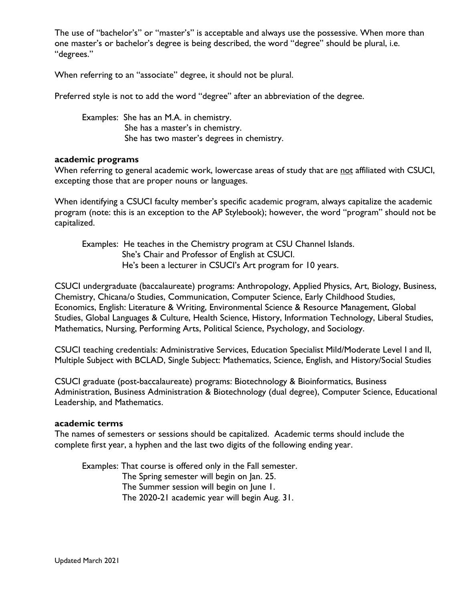The use of "bachelor's" or "master's" is acceptable and always use the possessive. When more than one master's or bachelor's degree is being described, the word "degree" should be plural, i.e. "degrees."

When referring to an "associate" degree, it should not be plural.

Preferred style is not to add the word "degree" after an abbreviation of the degree.

Examples: She has an M.A. in chemistry. She has a master's in chemistry. She has two master's degrees in chemistry.

### **academic programs**

When referring to general academic work, lowercase areas of study that are not affiliated with CSUCI, excepting those that are proper nouns or languages.

When identifying a CSUCI faculty member's specific academic program, always capitalize the academic program (note: this is an exception to the AP Stylebook); however, the word "program" should not be capitalized.

Examples: He teaches in the Chemistry program at CSU Channel Islands. She's Chair and Professor of English at CSUCI. He's been a lecturer in CSUCI's Art program for 10 years.

CSUCI undergraduate (baccalaureate) programs: Anthropology, Applied Physics, Art, Biology, Business, Chemistry, Chicana/o Studies, Communication, Computer Science, Early Childhood Studies, Economics, English: Literature & Writing, Environmental Science & Resource Management, Global Studies, Global Languages & Culture, Health Science, History, Information Technology, Liberal Studies, Mathematics, Nursing, Performing Arts, Political Science, Psychology, and Sociology.

CSUCI teaching credentials: Administrative Services, Education Specialist Mild/Moderate Level I and II, Multiple Subject with BCLAD, Single Subject: Mathematics, Science, English, and History/Social Studies

CSUCI graduate (post-baccalaureate) programs: Biotechnology & Bioinformatics, Business Administration, Business Administration & Biotechnology (dual degree), Computer Science, Educational Leadership, and Mathematics.

### **academic terms**

The names of semesters or sessions should be capitalized. Academic terms should include the complete first year, a hyphen and the last two digits of the following ending year.

Examples: That course is offered only in the Fall semester. The Spring semester will begin on Jan. 25. The Summer session will begin on June 1. The 2020-21 academic year will begin Aug. 31.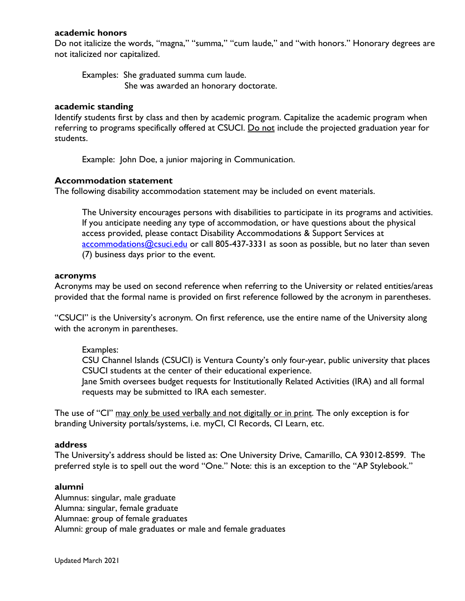# **academic honors**

Do not italicize the words, "magna," "summa," "cum laude," and "with honors." Honorary degrees are not italicized nor capitalized.

Examples: She graduated summa cum laude. She was awarded an honorary doctorate.

### **academic standing**

Identify students first by class and then by academic program. Capitalize the academic program when referring to programs specifically offered at CSUCI. Do not include the projected graduation year for students.

Example: John Doe, a junior majoring in Communication.

# **Accommodation statement**

The following disability accommodation statement may be included on event materials.

The University encourages persons with disabilities to participate in its programs and activities. If you anticipate needing any type of accommodation, or have questions about the physical access provided, please contact Disability Accommodations & Support Services at [accommodations@csuci.edu](mailto:accommodations@csuci.edu) or call 805-437-3331 as soon as possible, but no later than seven (7) business days prior to the event.

### **acronyms**

Acronyms may be used on second reference when referring to the University or related entities/areas provided that the formal name is provided on first reference followed by the acronym in parentheses.

"CSUCI" is the University's acronym. On first reference, use the entire name of the University along with the acronym in parentheses.

# Examples:

CSU Channel Islands (CSUCI) is Ventura County's only four-year, public university that places CSUCI students at the center of their educational experience.

Jane Smith oversees budget requests for Institutionally Related Activities (IRA) and all formal requests may be submitted to IRA each semester.

The use of "CI" may only be used verbally and not digitally or in print. The only exception is for branding University portals/systems, i.e. myCI, CI Records, CI Learn, etc.

### **address**

The University's address should be listed as: One University Drive, Camarillo, CA 93012-8599. The preferred style is to spell out the word "One." Note: this is an exception to the "AP Stylebook."

# **alumni**

Alumnus: singular, male graduate Alumna: singular, female graduate Alumnae: group of female graduates Alumni: group of male graduates or male and female graduates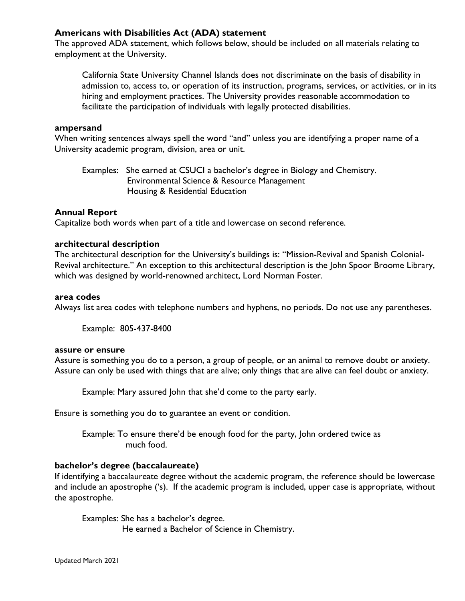# **Americans with Disabilities Act (ADA) statement**

The approved ADA statement, which follows below, should be included on all materials relating to employment at the University.

California State University Channel Islands does not discriminate on the basis of disability in admission to, access to, or operation of its instruction, programs, services, or activities, or in its hiring and employment practices. The University provides reasonable accommodation to facilitate the participation of individuals with legally protected disabilities.

### **ampersand**

When writing sentences always spell the word "and" unless you are identifying a proper name of a University academic program, division, area or unit.

Examples: She earned at CSUCI a bachelor's degree in Biology and Chemistry. Environmental Science & Resource Management Housing & Residential Education

# **Annual Report**

Capitalize both words when part of a title and lowercase on second reference.

# **architectural description**

The architectural description for the University's buildings is: "Mission-Revival and Spanish Colonial-Revival architecture." An exception to this architectural description is the John Spoor Broome Library, which was designed by world-renowned architect, Lord Norman Foster.

### **area codes**

Always list area codes with telephone numbers and hyphens, no periods. Do not use any parentheses.

Example: 805-437-8400

# **assure or ensure**

Assure is something you do to a person, a group of people, or an animal to remove doubt or anxiety. Assure can only be used with things that are alive; only things that are alive can feel doubt or anxiety.

Example: Mary assured John that she'd come to the party early.

Ensure is something you do to guarantee an event or condition.

Example: To ensure there'd be enough food for the party, John ordered twice as much food.

# **bachelor's degree (baccalaureate)**

If identifying a baccalaureate degree without the academic program, the reference should be lowercase and include an apostrophe ('s). If the academic program is included, upper case is appropriate, without the apostrophe.

Examples: She has a bachelor's degree. He earned a Bachelor of Science in Chemistry.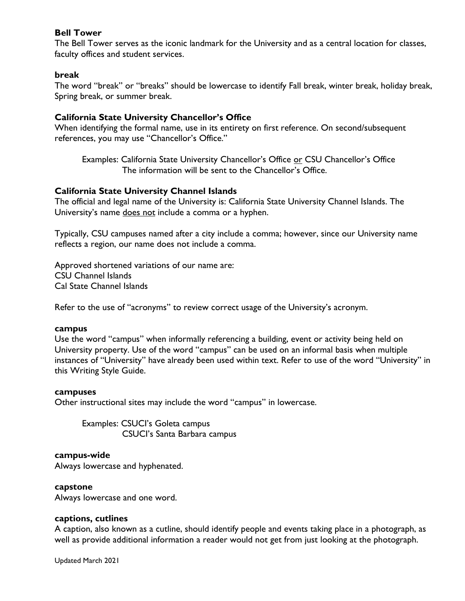# **Bell Tower**

The Bell Tower serves as the iconic landmark for the University and as a central location for classes, faculty offices and student services.

# **break**

The word "break" or "breaks" should be lowercase to identify Fall break, winter break, holiday break, Spring break, or summer break.

# **California State University Chancellor's Office**

When identifying the formal name, use in its entirety on first reference. On second/subsequent references, you may use "Chancellor's Office."

Examples: California State University Chancellor's Office or CSU Chancellor's Office The information will be sent to the Chancellor's Office.

# **California State University Channel Islands**

The official and legal name of the University is: California State University Channel Islands. The University's name does not include a comma or a hyphen.

Typically, CSU campuses named after a city include a comma; however, since our University name reflects a region, our name does not include a comma.

Approved shortened variations of our name are: CSU Channel Islands Cal State Channel Islands

Refer to the use of "acronyms" to review correct usage of the University's acronym.

# **campus**

Use the word "campus" when informally referencing a building, event or activity being held on University property. Use of the word "campus" can be used on an informal basis when multiple instances of "University" have already been used within text. Refer to use of the word "University" in this Writing Style Guide.

### **campuses**

Other instructional sites may include the word "campus" in lowercase.

Examples: CSUCI's Goleta campus CSUCI's Santa Barbara campus

# **campus-wide**

Always lowercase and hyphenated.

### **capstone**

Always lowercase and one word.

# **captions, cutlines**

A caption, also known as a cutline, should identify people and events taking place in a photograph, as well as provide additional information a reader would not get from just looking at the photograph.

Updated March 2021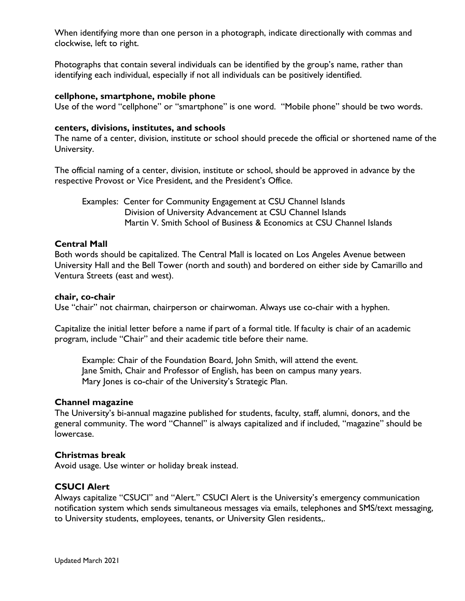When identifying more than one person in a photograph, indicate directionally with commas and clockwise, left to right.

Photographs that contain several individuals can be identified by the group's name, rather than identifying each individual, especially if not all individuals can be positively identified.

### **cellphone, smartphone, mobile phone**

Use of the word "cellphone" or "smartphone" is one word. "Mobile phone" should be two words.

### **centers, divisions, institutes, and schools**

The name of a center, division, institute or school should precede the official or shortened name of the University.

The official naming of a center, division, institute or school, should be approved in advance by the respective Provost or Vice President, and the President's Office.

Examples: Center for Community Engagement at CSU Channel Islands Division of University Advancement at CSU Channel Islands Martin V. Smith School of Business & Economics at CSU Channel Islands

### **Central Mall**

Both words should be capitalized. The Central Mall is located on Los Angeles Avenue between University Hall and the Bell Tower (north and south) and bordered on either side by Camarillo and Ventura Streets (east and west).

### **chair, co-chair**

Use "chair" not chairman, chairperson or chairwoman. Always use co-chair with a hyphen.

Capitalize the initial letter before a name if part of a formal title. If faculty is chair of an academic program, include "Chair" and their academic title before their name.

Example: Chair of the Foundation Board, John Smith, will attend the event. Jane Smith, Chair and Professor of English, has been on campus many years. Mary Jones is co-chair of the University's Strategic Plan.

# **Channel magazine**

The University's bi-annual magazine published for students, faculty, staff, alumni, donors, and the general community. The word "Channel" is always capitalized and if included, "magazine" should be lowercase.

# **Christmas break**

Avoid usage. Use winter or holiday break instead.

# **CSUCI Alert**

Always capitalize "CSUCI" and "Alert." CSUCI Alert is the University's emergency communication notification system which sends simultaneous messages via emails, telephones and SMS/text messaging, to University students, employees, tenants, or University Glen residents,.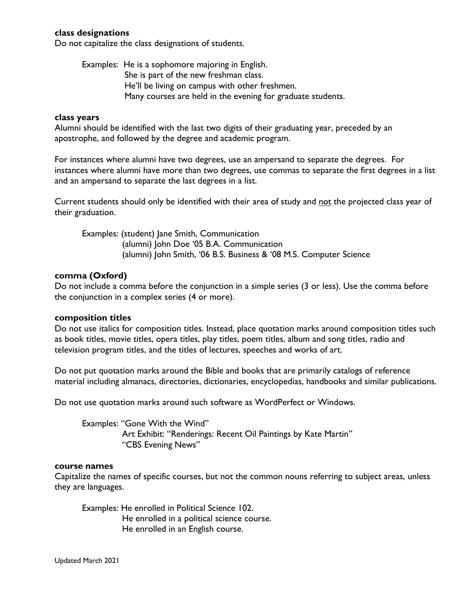# **class designations**

Do not capitalize the class designations of students.

Examples: He is a sophomore majoring in English. She is part of the new freshman class. He'll be living on campus with other freshmen. Many courses are held in the evening for graduate students.

### **class years**

Alumni should be identified with the last two digits of their graduating year, preceded by an apostrophe, and followed by the degree and academic program.

For instances where alumni have two degrees, use an ampersand to separate the degrees. For instances where alumni have more than two degrees, use commas to separate the first degrees in a list and an ampersand to separate the last degrees in a list.

Current students should only be identified with their area of study and not the projected class year of their graduation.

Examples: (student) Jane Smith, Communication (alumni) John Doe '05 B.A. Communication (alumni) John Smith, '06 B.S. Business & '08 M.S. Computer Science

### **comma (Oxford)**

Do not include a comma before the conjunction in a simple series (3 or less). Use the comma before the conjunction in a complex series (4 or more).

### **composition titles**

Do not use italics for composition titles. Instead, place quotation marks around composition titles such as book titles, movie titles, opera titles, play titles, poem titles, album and song titles, radio and television program titles, and the titles of lectures, speeches and works of art.

Do not put quotation marks around the Bible and books that are primarily catalogs of reference material including almanacs, directories, dictionaries, encyclopedias, handbooks and similar publications.

Do not use quotation marks around such software as WordPerfect or Windows.

Examples: "Gone With the Wind" Art Exhibit: "Renderings: Recent Oil Paintings by Kate Martin" "CBS Evening News"

#### **course names**

Capitalize the names of specific courses, but not the common nouns referring to subject areas, unless they are languages.

Examples: He enrolled in Political Science 102. He enrolled in a political science course. He enrolled in an English course.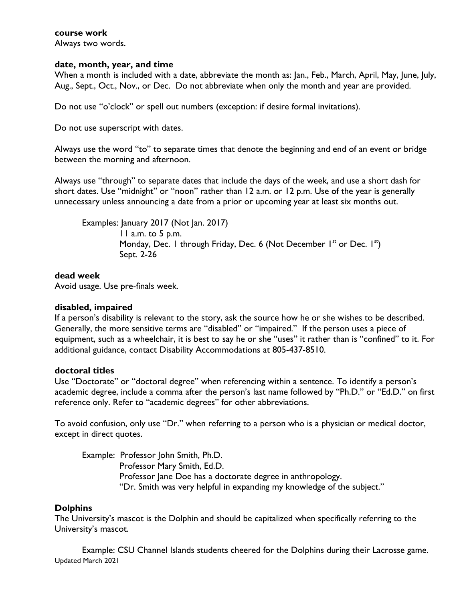# **course work**

Always two words.

# **date, month, year, and time**

When a month is included with a date, abbreviate the month as: Jan., Feb., March, April, May, June, July, Aug., Sept., Oct., Nov., or Dec. Do not abbreviate when only the month and year are provided.

Do not use "o'clock" or spell out numbers (exception: if desire formal invitations).

Do not use superscript with dates.

Always use the word "to" to separate times that denote the beginning and end of an event or bridge between the morning and afternoon.

Always use "through" to separate dates that include the days of the week, and use a short dash for short dates. Use "midnight" or "noon" rather than 12 a.m. or 12 p.m. Use of the year is generally unnecessary unless announcing a date from a prior or upcoming year at least six months out.

Examples: January 2017 (Not Jan. 2017) 11 a.m. to 5 p.m. Monday, Dec. 1 through Friday, Dec. 6 (Not December  $I<sup>st</sup>$  or Dec.  $I<sup>st</sup>$ ) Sept. 2-26

# **dead week**

Avoid usage. Use pre-finals week.

# **disabled, impaired**

If a person's disability is relevant to the story, ask the source how he or she wishes to be described. Generally, the more sensitive terms are "disabled" or "impaired." If the person uses a piece of equipment, such as a wheelchair, it is best to say he or she "uses" it rather than is "confined" to it. For additional guidance, contact Disability Accommodations at 805-437-8510.

# **doctoral titles**

Use "Doctorate" or "doctoral degree" when referencing within a sentence. To identify a person's academic degree, include a comma after the person's last name followed by "Ph.D." or "Ed.D." on first reference only. Refer to "academic degrees" for other abbreviations.

To avoid confusion, only use "Dr." when referring to a person who is a physician or medical doctor, except in direct quotes.

Example: Professor John Smith, Ph.D. Professor Mary Smith, Ed.D. Professor Jane Doe has a doctorate degree in anthropology. "Dr. Smith was very helpful in expanding my knowledge of the subject."

# **Dolphins**

The University's mascot is the Dolphin and should be capitalized when specifically referring to the University's mascot.

Updated March 2021 Example: CSU Channel Islands students cheered for the Dolphins during their Lacrosse game.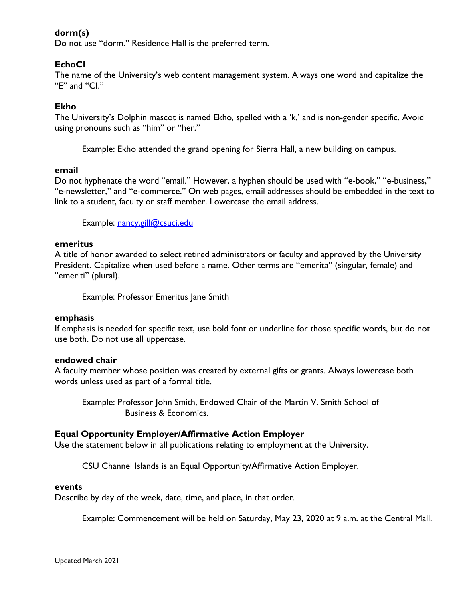# **dorm(s)**

Do not use "dorm." Residence Hall is the preferred term.

# **EchoCI**

The name of the University's web content management system. Always one word and capitalize the "E" and "CI."

# **Ekho**

The University's Dolphin mascot is named Ekho, spelled with a 'k,' and is non-gender specific. Avoid using pronouns such as "him" or "her."

Example: Ekho attended the grand opening for Sierra Hall, a new building on campus.

### **email**

Do not hyphenate the word "email." However, a hyphen should be used with "e-book," "e-business," "e-newsletter," and "e-commerce." On web pages, email addresses should be embedded in the text to link to a student, faculty or staff member. Lowercase the email address.

Example: [nancy.gill@csuci.edu](mailto:nancy.gill@csuci.edu)

### **emeritus**

A title of honor awarded to select retired administrators or faculty and approved by the University President. Capitalize when used before a name. Other terms are "emerita" (singular, female) and "emeriti" (plural).

Example: Professor Emeritus Jane Smith

### **emphasis**

If emphasis is needed for specific text, use bold font or underline for those specific words, but do not use both. Do not use all uppercase.

### **endowed chair**

A faculty member whose position was created by external gifts or grants. Always lowercase both words unless used as part of a formal title.

Example: Professor John Smith, Endowed Chair of the Martin V. Smith School of Business & Economics.

# **Equal Opportunity Employer/Affirmative Action Employer**

Use the statement below in all publications relating to employment at the University.

CSU Channel Islands is an Equal Opportunity/Affirmative Action Employer.

### **events**

Describe by day of the week, date, time, and place, in that order.

Example: Commencement will be held on Saturday, May 23, 2020 at 9 a.m. at the Central Mall.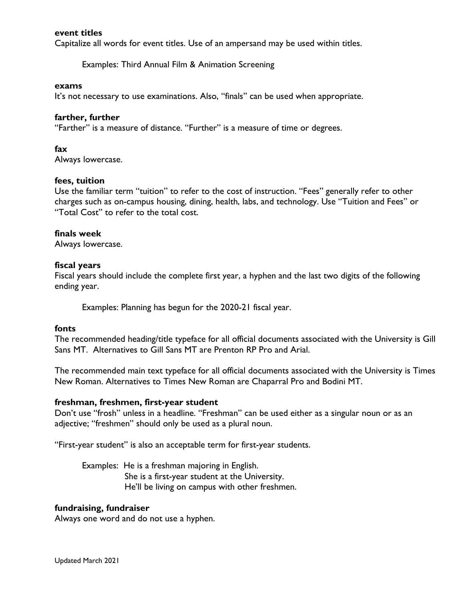### **event titles**

Capitalize all words for event titles. Use of an ampersand may be used within titles.

Examples: Third Annual Film & Animation Screening

#### **exams**

It's not necessary to use examinations. Also, "finals" can be used when appropriate.

### **farther, further**

"Farther" is a measure of distance. "Further" is a measure of time or degrees.

### **fax**

Always lowercase.

### **fees, tuition**

Use the familiar term "tuition" to refer to the cost of instruction. "Fees" generally refer to other charges such as on-campus housing, dining, health, labs, and technology. Use "Tuition and Fees" or "Total Cost" to refer to the total cost.

### **finals week**

Always lowercase.

### **fiscal years**

Fiscal years should include the complete first year, a hyphen and the last two digits of the following ending year.

Examples: Planning has begun for the 2020-21 fiscal year.

### **fonts**

The recommended heading/title typeface for all official documents associated with the University is Gill Sans MT. Alternatives to Gill Sans MT are Prenton RP Pro and Arial.

The recommended main text typeface for all official documents associated with the University is Times New Roman. Alternatives to Times New Roman are Chaparral Pro and Bodini MT.

### **freshman, freshmen, first-year student**

Don't use "frosh" unless in a headline. "Freshman" can be used either as a singular noun or as an adjective; "freshmen" should only be used as a plural noun.

"First-year student" is also an acceptable term for first-year students.

Examples: He is a freshman majoring in English. She is a first-year student at the University. He'll be living on campus with other freshmen.

### **fundraising, fundraiser**

Always one word and do not use a hyphen.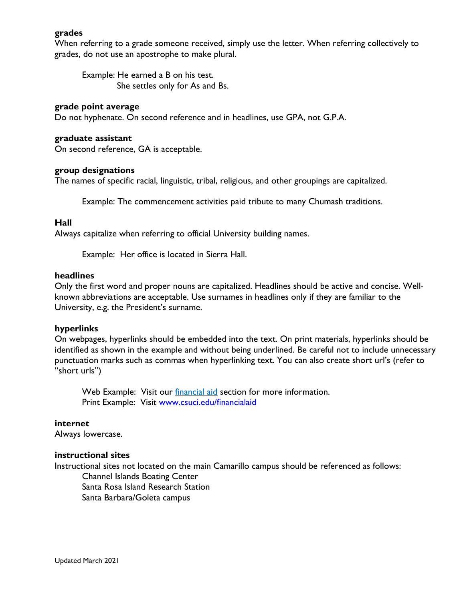# **grades**

When referring to a grade someone received, simply use the letter. When referring collectively to grades, do not use an apostrophe to make plural.

Example: He earned a B on his test. She settles only for As and Bs.

### **grade point average**

Do not hyphenate. On second reference and in headlines, use GPA, not G.P.A.

#### **graduate assistant**

On second reference, GA is acceptable.

#### **group designations**

The names of specific racial, linguistic, tribal, religious, and other groupings are capitalized.

Example: The commencement activities paid tribute to many Chumash traditions.

### **Hall**

Always capitalize when referring to official University building names.

Example: Her office is located in Sierra Hall.

### **headlines**

Only the first word and proper nouns are capitalized. Headlines should be active and concise. Wellknown abbreviations are acceptable. Use surnames in headlines only if they are familiar to the University, e.g. the President's surname.

### **hyperlinks**

On webpages, hyperlinks should be embedded into the text. On print materials, hyperlinks should be identified as shown in the example and without being underlined. Be careful not to include unnecessary punctuation marks such as commas when hyperlinking text. You can also create short url's (refer to "short urls")

Web Example: Visit our *financial aid* section for more information. Print Example: Visit [www.csuci.edu/financialaid](http://www.csuci.edu/financialaid)

### **internet**

Always lowercase.

### **instructional sites**

Instructional sites not located on the main Camarillo campus should be referenced as follows: Channel Islands Boating Center Santa Rosa Island Research Station

Santa Barbara/Goleta campus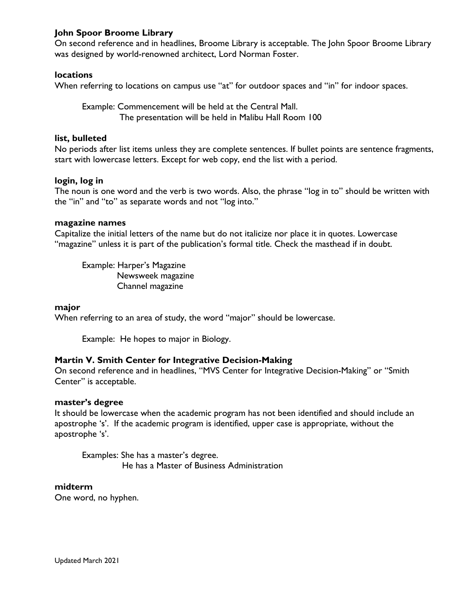# **John Spoor Broome Library**

On second reference and in headlines, Broome Library is acceptable. The John Spoor Broome Library was designed by world-renowned architect, Lord Norman Foster.

# **locations**

When referring to locations on campus use "at" for outdoor spaces and "in" for indoor spaces.

Example: Commencement will be held at the Central Mall. The presentation will be held in Malibu Hall Room 100

### **list, bulleted**

No periods after list items unless they are complete sentences. If bullet points are sentence fragments, start with lowercase letters. Except for web copy, end the list with a period.

### **login, log in**

The noun is one word and the verb is two words. Also, the phrase "log in to" should be written with the "in" and "to" as separate words and not "log into."

### **magazine names**

Capitalize the initial letters of the name but do not italicize nor place it in quotes. Lowercase "magazine" unless it is part of the publication's formal title. Check the masthead if in doubt.

Example: Harper's Magazine Newsweek magazine Channel magazine

### **major**

When referring to an area of study, the word "major" should be lowercase.

Example: He hopes to major in Biology.

### **Martin V. Smith Center for Integrative Decision-Making**

On second reference and in headlines, "MVS Center for Integrative Decision-Making" or "Smith Center" is acceptable.

### **master's degree**

It should be lowercase when the academic program has not been identified and should include an apostrophe 's'. If the academic program is identified, upper case is appropriate, without the apostrophe 's'.

Examples: She has a master's degree. He has a Master of Business Administration

### **midterm**

One word, no hyphen.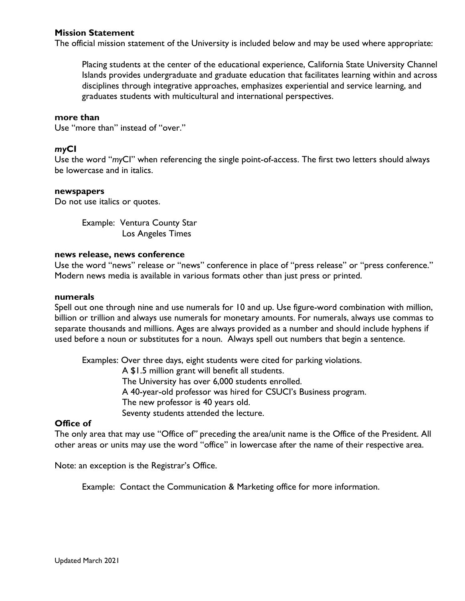# **Mission Statement**

The official mission statement of the University is included below and may be used where appropriate:

Placing students at the center of the educational experience, California State University Channel Islands provides undergraduate and graduate education that facilitates learning within and across disciplines through integrative approaches, emphasizes experiential and service learning, and graduates students with multicultural and international perspectives.

### **more than**

Use "more than" instead of "over."

# *my***CI**

Use the word "*my*CI" when referencing the single point-of-access. The first two letters should always be lowercase and in italics.

### **newspapers**

Do not use italics or quotes.

Example: Ventura County Star Los Angeles Times

### **news release, news conference**

Use the word "news" release or "news" conference in place of "press release" or "press conference." Modern news media is available in various formats other than just press or printed.

### **numerals**

Spell out one through nine and use numerals for 10 and up. Use figure-word combination with million, billion or trillion and always use numerals for monetary amounts. For numerals, always use commas to separate thousands and millions. Ages are always provided as a number and should include hyphens if used before a noun or substitutes for a noun. Always spell out numbers that begin a sentence.

Examples: Over three days, eight students were cited for parking violations.

 A \$1.5 million grant will benefit all students. The University has over 6,000 students enrolled. A 40-year-old professor was hired for CSUCI's Business program. The new professor is 40 years old. Seventy students attended the lecture.

# **Office of**

The only area that may use "Office of*"* preceding the area/unit name is the Office of the President. All other areas or units may use the word "office" in lowercase after the name of their respective area.

Note: an exception is the Registrar's Office.

Example: Contact the Communication & Marketing office for more information.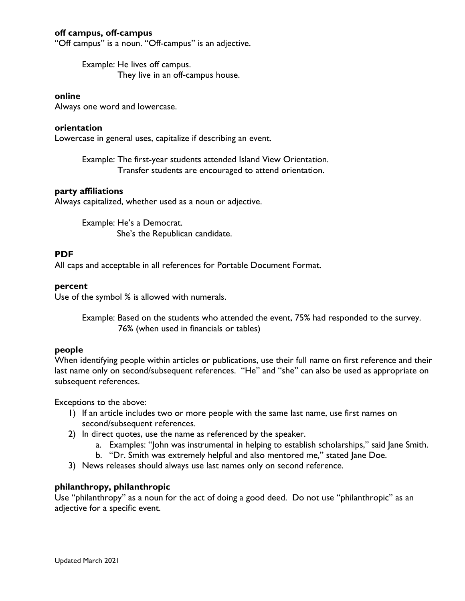# **off campus, off-campus**

"Off campus" is a noun. "Off-campus" is an adjective.

Example: He lives off campus. They live in an off-campus house.

### **online**

Always one word and lowercase.

### **orientation**

Lowercase in general uses, capitalize if describing an event.

Example: The first-year students attended Island View Orientation. Transfer students are encouraged to attend orientation.

### **party affiliations**

Always capitalized, whether used as a noun or adjective.

Example: He's a Democrat. She's the Republican candidate.

# **PDF**

All caps and acceptable in all references for Portable Document Format.

### **percent**

Use of the symbol % is allowed with numerals.

Example: Based on the students who attended the event, 75% had responded to the survey. 76% (when used in financials or tables)

# **people**

When identifying people within articles or publications, use their full name on first reference and their last name only on second/subsequent references. "He" and "she" can also be used as appropriate on subsequent references.

Exceptions to the above:

- 1) If an article includes two or more people with the same last name, use first names on second/subsequent references.
- 2) In direct quotes, use the name as referenced by the speaker.
	- a. Examples: "John was instrumental in helping to establish scholarships," said Jane Smith.
	- b. "Dr. Smith was extremely helpful and also mentored me," stated Jane Doe.
- 3) News releases should always use last names only on second reference.

# **philanthropy, philanthropic**

Use "philanthropy" as a noun for the act of doing a good deed. Do not use "philanthropic" as an adjective for a specific event.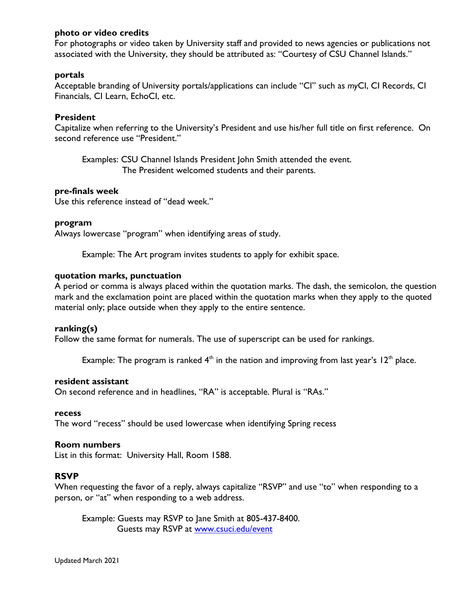# **photo or video credits**

For photographs or video taken by University staff and provided to news agencies or publications not associated with the University, they should be attributed as: "Courtesy of CSU Channel Islands."

# **portals**

Acceptable branding of University portals/applications can include "CI" such as *my*CI, CI Records, CI Financials, CI Learn, EchoCI, etc.

# **President**

Capitalize when referring to the University's President and use his/her full title on first reference. On second reference use "President."

Examples: CSU Channel Islands President John Smith attended the event. The President welcomed students and their parents.

# **pre-finals week**

Use this reference instead of "dead week."

### **program**

Always lowercase "program" when identifying areas of study.

Example: The Art program invites students to apply for exhibit space.

### **quotation marks, punctuation**

A period or comma is always placed within the quotation marks. The dash, the semicolon, the question mark and the exclamation point are placed within the quotation marks when they apply to the quoted material only; place outside when they apply to the entire sentence.

### **ranking(s)**

Follow the same format for numerals. The use of superscript can be used for rankings.

Example: The program is ranked  $4<sup>th</sup>$  in the nation and improving from last year's 12<sup>th</sup> place.

### **resident assistant**

On second reference and in headlines, "RA" is acceptable. Plural is "RAs."

### **recess**

The word "recess" should be used lowercase when identifying Spring recess

# **Room numbers**

List in this format: University Hall, Room 1588.

# **RSVP**

When requesting the favor of a reply, always capitalize "RSVP" and use "to" when responding to a person, or "at" when responding to a web address.

Example: Guests may RSVP to Jane Smith at 805-437-8400. Guests may RSVP at [www.csuci.edu/event](http://www.csuci.edu/event)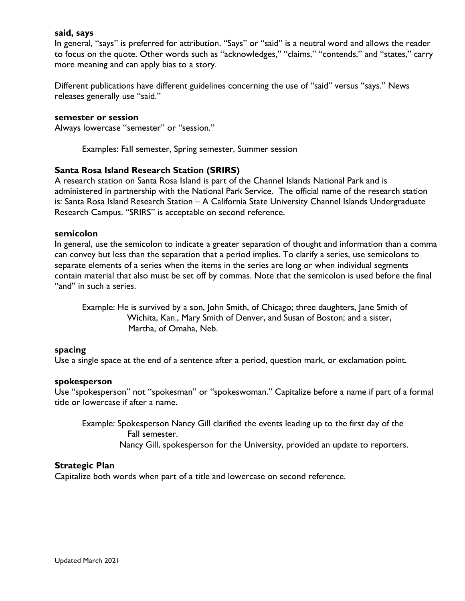### **said, says**

In general, "says" is preferred for attribution. "Says" or "said" is a neutral word and allows the reader to focus on the quote. Other words such as "acknowledges," "claims," "contends," and "states," carry more meaning and can apply bias to a story.

Different publications have different guidelines concerning the use of "said" versus "says." News releases generally use "said."

### **semester or session**

Always lowercase "semester" or "session."

Examples: Fall semester, Spring semester, Summer session

### **Santa Rosa Island Research Station (SRIRS)**

A research station on Santa Rosa Island is part of the Channel Islands National Park and is administered in partnership with the National Park Service. The official name of the research station is: Santa Rosa Island Research Station – A California State University Channel Islands Undergraduate Research Campus. "SRIRS" is acceptable on second reference.

### **semicolon**

In general, use the semicolon to indicate a greater separation of thought and information than a comma can convey but less than the separation that a period implies. To clarify a series, use semicolons to separate elements of a series when the items in the series are long or when individual segments contain material that also must be set off by commas. Note that the semicolon is used before the final "and" in such a series.

Example: He is survived by a son, John Smith, of Chicago; three daughters, Jane Smith of Wichita, Kan., Mary Smith of Denver, and Susan of Boston; and a sister, Martha, of Omaha, Neb.

### **spacing**

Use a single space at the end of a sentence after a period, question mark, or exclamation point.

### **spokesperson**

Use "spokesperson" not "spokesman" or "spokeswoman." Capitalize before a name if part of a formal title or lowercase if after a name.

Example: Spokesperson Nancy Gill clarified the events leading up to the first day of the Fall semester. Nancy Gill, spokesperson for the University, provided an update to reporters.

### **Strategic Plan**

Capitalize both words when part of a title and lowercase on second reference.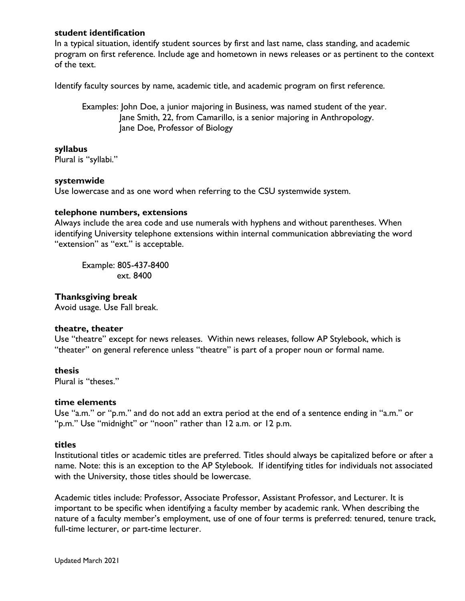# **student identification**

In a typical situation, identify student sources by first and last name, class standing, and academic program on first reference. Include age and hometown in news releases or as pertinent to the context of the text.

Identify faculty sources by name, academic title, and academic program on first reference.

Examples: John Doe, a junior majoring in Business, was named student of the year. Jane Smith, 22, from Camarillo, is a senior majoring in Anthropology. Jane Doe, Professor of Biology

### **syllabus**

Plural is "syllabi."

### **systemwide**

Use lowercase and as one word when referring to the CSU systemwide system.

### **telephone numbers, extensions**

Always include the area code and use numerals with hyphens and without parentheses. When identifying University telephone extensions within internal communication abbreviating the word "extension" as "ext." is acceptable.

Example: 805-437-8400 ext. 8400

### **Thanksgiving break**

Avoid usage. Use Fall break.

### **theatre, theater**

Use "theatre" except for news releases. Within news releases, follow AP Stylebook, which is "theater" on general reference unless "theatre" is part of a proper noun or formal name.

### **thesis**

Plural is "theses."

### **time elements**

Use "a.m." or "p.m." and do not add an extra period at the end of a sentence ending in "a.m." or "p.m." Use "midnight" or "noon" rather than 12 a.m. or 12 p.m.

### **titles**

Institutional titles or academic titles are preferred. Titles should always be capitalized before or after a name. Note: this is an exception to the AP Stylebook. If identifying titles for individuals not associated with the University, those titles should be lowercase.

Academic titles include: Professor, Associate Professor, Assistant Professor, and Lecturer. It is important to be specific when identifying a faculty member by academic rank. When describing the nature of a faculty member's employment, use of one of four terms is preferred: tenured, tenure track, full-time lecturer, or part-time lecturer.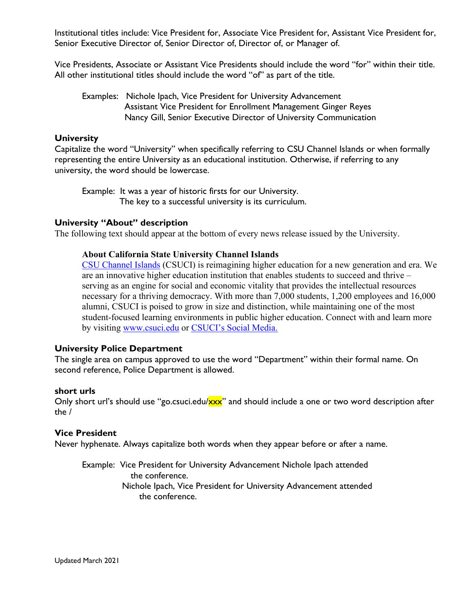Institutional titles include: Vice President for, Associate Vice President for, Assistant Vice President for, Senior Executive Director of, Senior Director of, Director of, or Manager of.

Vice Presidents, Associate or Assistant Vice Presidents should include the word "for" within their title. All other institutional titles should include the word "of" as part of the title.

Examples: Nichole Ipach, Vice President for University Advancement Assistant Vice President for Enrollment Management Ginger Reyes Nancy Gill, Senior Executive Director of University Communication

# **University**

Capitalize the word "University" when specifically referring to CSU Channel Islands or when formally representing the entire University as an educational institution. Otherwise, if referring to any university, the word should be lowercase.

Example: It was a year of historic firsts for our University. The key to a successful university is its curriculum.

# **University "About" description**

The following text should appear at the bottom of every news release issued by the University.

# **About California State University Channel Islands**

[CSU Channel Islands](http://www.csuci.edu/) (CSUCI) is reimagining higher education for a new generation and era. We are an innovative higher education institution that enables students to succeed and thrive – serving as an engine for social and economic vitality that provides the intellectual resources necessary for a thriving democracy. With more than 7,000 students, 1,200 employees and 16,000 alumni, CSUCI is poised to grow in size and distinction, while maintaining one of the most student-focused learning environments in public higher education. Connect with and learn more by visiting [www.csuci.edu](http://www.csuci.edu/) or [CSUCI's Social Media.](http://www.csuci.edu/social/directory.htm)

# **University Police Department**

The single area on campus approved to use the word "Department" within their formal name. On second reference, Police Department is allowed.

# **short urls**

Only short url's should use "go.csuci.edu/xxx" and should include a one or two word description after the /

# **Vice President**

Never hyphenate. Always capitalize both words when they appear before or after a name.

Example: Vice President for University Advancement Nichole Ipach attended the conference. Nichole Ipach, Vice President for University Advancement attended the conference.